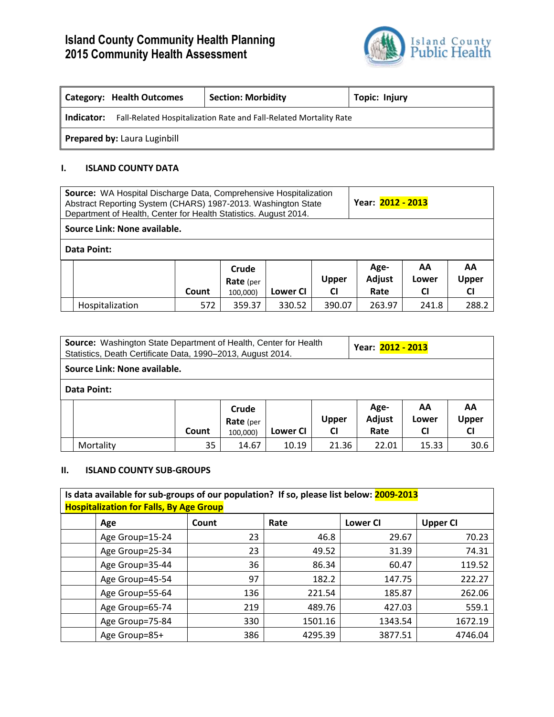# **Island County Community Health Planning 2015 Community Health Assessment**



| Category: Health Outcomes    |                                                                   | <b>Section: Morbidity</b> | Topic: Injury |  |  |  |  |  |
|------------------------------|-------------------------------------------------------------------|---------------------------|---------------|--|--|--|--|--|
| Indicator:                   | Fall-Related Hospitalization Rate and Fall-Related Mortality Rate |                           |               |  |  |  |  |  |
| Prepared by: Laura Luginbill |                                                                   |                           |               |  |  |  |  |  |

### **I. ISLAND COUNTY DATA**

| Source: WA Hospital Discharge Data, Comprehensive Hospitalization<br>Abstract Reporting System (CHARS) 1987-2013. Washington State<br>Department of Health, Center for Health Statistics. August 2014. |                              |       |                                       |          |                           | Year: 2012 - 2013      |                          |                                 |  |  |
|--------------------------------------------------------------------------------------------------------------------------------------------------------------------------------------------------------|------------------------------|-------|---------------------------------------|----------|---------------------------|------------------------|--------------------------|---------------------------------|--|--|
|                                                                                                                                                                                                        | Source Link: None available. |       |                                       |          |                           |                        |                          |                                 |  |  |
| <b>Data Point:</b>                                                                                                                                                                                     |                              |       |                                       |          |                           |                        |                          |                                 |  |  |
|                                                                                                                                                                                                        |                              | Count | Crude<br><b>Rate</b> (per<br>100,000) | Lower CI | <b>Upper</b><br><b>CI</b> | Age-<br>Adjust<br>Rate | AA<br>Lower<br><b>CI</b> | AA<br><b>Upper</b><br><b>CI</b> |  |  |
|                                                                                                                                                                                                        | Hospitalization              | 572   | 359.37                                | 330.52   | 390.07                    | 263.97                 | 241.8                    | 288.2                           |  |  |

| Source: Washington State Department of Health, Center for Health<br>Statistics, Death Certificate Data, 1990-2013, August 2014. |                              |       |                                       |          |                           | Year: 2012 - 2013      |                          |                          |  |  |  |
|---------------------------------------------------------------------------------------------------------------------------------|------------------------------|-------|---------------------------------------|----------|---------------------------|------------------------|--------------------------|--------------------------|--|--|--|
|                                                                                                                                 | Source Link: None available. |       |                                       |          |                           |                        |                          |                          |  |  |  |
|                                                                                                                                 | Data Point:                  |       |                                       |          |                           |                        |                          |                          |  |  |  |
|                                                                                                                                 |                              | Count | Crude<br><b>Rate</b> (per<br>100,000) | Lower CI | <b>Upper</b><br><b>CI</b> | Age-<br>Adjust<br>Rate | AA<br>Lower<br><b>CI</b> | AA<br>Upper<br><b>CI</b> |  |  |  |
|                                                                                                                                 | Mortality                    | 35    | 14.67                                 | 10.19    | 21.36                     | 22.01                  | 15.33                    | 30.6                     |  |  |  |

## **II. ISLAND COUNTY SUB-GROUPS**

| Is data available for sub-groups of our population? If so, please list below: 2009-2013<br><b>Hospitalization for Falls, By Age Group</b> |       |         |                 |                 |  |  |  |  |  |  |  |
|-------------------------------------------------------------------------------------------------------------------------------------------|-------|---------|-----------------|-----------------|--|--|--|--|--|--|--|
| Age                                                                                                                                       | Count | Rate    | <b>Lower CI</b> | <b>Upper CI</b> |  |  |  |  |  |  |  |
| Age Group=15-24                                                                                                                           | 23    | 46.8    | 29.67           | 70.23           |  |  |  |  |  |  |  |
| Age Group=25-34                                                                                                                           | 23    | 49.52   | 31.39           | 74.31           |  |  |  |  |  |  |  |
| Age Group=35-44                                                                                                                           | 36    | 86.34   | 60.47           | 119.52          |  |  |  |  |  |  |  |
| Age Group=45-54                                                                                                                           | 97    | 182.2   | 147.75          | 222.27          |  |  |  |  |  |  |  |
| Age Group=55-64                                                                                                                           | 136   | 221.54  | 185.87          | 262.06          |  |  |  |  |  |  |  |
| Age Group=65-74                                                                                                                           | 219   | 489.76  | 427.03          | 559.1           |  |  |  |  |  |  |  |
| Age Group=75-84                                                                                                                           | 330   | 1501.16 | 1343.54         | 1672.19         |  |  |  |  |  |  |  |
| Age Group=85+                                                                                                                             | 386   | 4295.39 | 3877.51         | 4746.04         |  |  |  |  |  |  |  |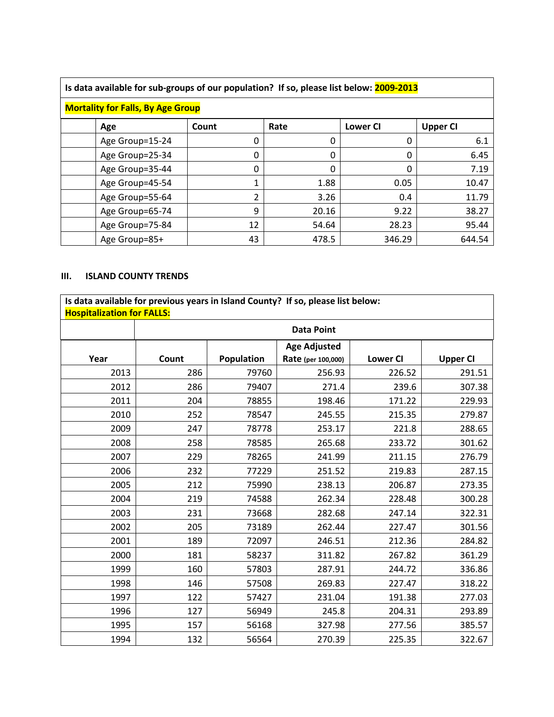| Is data available for sub-groups of our population? If so, please list below: 2009-2013 |       |       |                 |                 |  |  |  |  |  |  |  |  |
|-----------------------------------------------------------------------------------------|-------|-------|-----------------|-----------------|--|--|--|--|--|--|--|--|
| <b>Mortality for Falls, By Age Group</b>                                                |       |       |                 |                 |  |  |  |  |  |  |  |  |
| Age                                                                                     | Count | Rate  | <b>Lower CI</b> | <b>Upper CI</b> |  |  |  |  |  |  |  |  |
| Age Group=15-24                                                                         | 0     | 0     | 0               | 6.1             |  |  |  |  |  |  |  |  |
| Age Group=25-34                                                                         | 0     | 0     | 0               | 6.45            |  |  |  |  |  |  |  |  |
| Age Group=35-44                                                                         | 0     | 0     | 0               | 7.19            |  |  |  |  |  |  |  |  |
| Age Group=45-54                                                                         | 1     | 1.88  | 0.05            | 10.47           |  |  |  |  |  |  |  |  |
| Age Group=55-64                                                                         | 2     | 3.26  | 0.4             | 11.79           |  |  |  |  |  |  |  |  |
| Age Group=65-74                                                                         | 9     | 20.16 | 9.22            | 38.27           |  |  |  |  |  |  |  |  |
| Age Group=75-84                                                                         | 12    | 54.64 | 28.23           | 95.44           |  |  |  |  |  |  |  |  |
| Age Group=85+                                                                           | 43    | 478.5 | 346.29          | 644.54          |  |  |  |  |  |  |  |  |

### **III. ISLAND COUNTY TRENDS**

**Is data available for previous years in Island County? If so, please list below: Hospitalization for FALLS:** 

|      | <b>Data Point</b> |                   |                     |                 |                 |  |  |  |  |  |
|------|-------------------|-------------------|---------------------|-----------------|-----------------|--|--|--|--|--|
|      |                   |                   | <b>Age Adjusted</b> |                 |                 |  |  |  |  |  |
| Year | Count             | <b>Population</b> | Rate (per 100,000)  | <b>Lower CI</b> | <b>Upper CI</b> |  |  |  |  |  |
| 2013 | 286               | 79760             | 256.93              | 226.52          | 291.51          |  |  |  |  |  |
| 2012 | 286               | 79407             | 271.4               | 239.6           | 307.38          |  |  |  |  |  |
| 2011 | 204               | 78855             | 198.46              | 171.22          | 229.93          |  |  |  |  |  |
| 2010 | 252               | 78547             | 245.55              | 215.35          | 279.87          |  |  |  |  |  |
| 2009 | 247               | 78778             | 253.17              | 221.8           | 288.65          |  |  |  |  |  |
| 2008 | 258               | 78585             | 265.68              | 233.72          | 301.62          |  |  |  |  |  |
| 2007 | 229               | 78265             | 241.99              | 211.15          | 276.79          |  |  |  |  |  |
| 2006 | 232               | 77229             | 251.52              | 219.83          | 287.15          |  |  |  |  |  |
| 2005 | 212               | 75990             | 238.13              | 206.87          | 273.35          |  |  |  |  |  |
| 2004 | 219               | 74588             | 262.34              | 228.48          | 300.28          |  |  |  |  |  |
| 2003 | 231               | 73668             | 282.68              | 247.14          | 322.31          |  |  |  |  |  |
| 2002 | 205               | 73189             | 262.44              | 227.47          | 301.56          |  |  |  |  |  |
| 2001 | 189               | 72097             | 246.51              | 212.36          | 284.82          |  |  |  |  |  |
| 2000 | 181               | 58237             | 311.82              | 267.82          | 361.29          |  |  |  |  |  |
| 1999 | 160               | 57803             | 287.91              | 244.72          | 336.86          |  |  |  |  |  |
| 1998 | 146               | 57508             | 269.83              | 227.47          | 318.22          |  |  |  |  |  |
| 1997 | 122               | 57427             | 231.04              | 191.38          | 277.03          |  |  |  |  |  |
| 1996 | 127               | 56949             | 245.8               | 204.31          | 293.89          |  |  |  |  |  |
| 1995 | 157               | 56168             | 327.98              | 277.56          | 385.57          |  |  |  |  |  |
| 1994 | 132               | 56564             | 270.39              | 225.35          | 322.67          |  |  |  |  |  |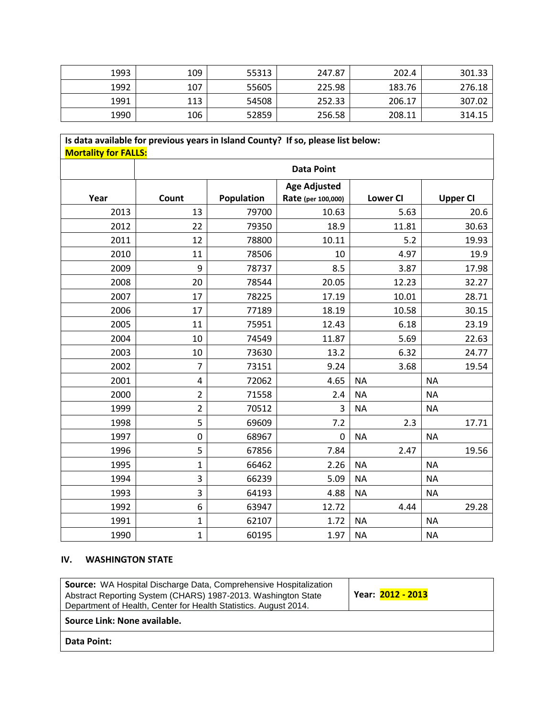| 1993 | 109 | 55313 | 247.87 | 202.4  | 301.33 |
|------|-----|-------|--------|--------|--------|
| 1992 | 107 | 55605 | 225.98 | 183.76 | 276.18 |
| 1991 | 113 | 54508 | 252.33 | 206.17 | 307.02 |
| 1990 | 106 | 52859 | 256.58 | 208.11 | 314.15 |

## **Is data available for previous years in Island County? If so, please list below: Mortality for FALLS: Data Point Year Count Population Age Adjusted Rate (per 100,000) Lower CI Upper CI** 2013 13 79700 10.63 5.63 20.6 2012 22 79350 18.9 11.81 30.63 2011 12 78800 10.11 5.2 19.93 2010 | 11 | 78506 | 10 | 4.97 | 19.9 2009 | 9 | 78737 | 8.5 | 3.87 | 17.98 2008 20 78544 20.05 12.23 32.27 2007 17 78225 17.19 10.01 28.71 2006 17 77189 18.19 10.58 30.15 2005 11 75951 12.43 6.18 23.19 2004 10 74549 11.87 5.69 22.63 2003 10 73630 13.2 6.32 24.77 2002 7 73151 9.24 3.68 19.54 2001 | 4 72062 | 4.65 | NA | NA 2000 | 2 | 71558 | 2.4 | NA | NA 1999 | 2 | 70512 | 3 | NA | NA 1998 | 5 | 69609 | 7.2 | 2.3 | 17.71 1997 0 68967 0 NA NA 1996 | 5 | 67856 | 7.84 | 2.47 | 19.56 1995 | 1 1 66462 | 2.26 | NA | NA 1994 | 3 | 66239 | 5.09 | NA | NA 1993 | 3 | 64193 | 4.88 | NA | NA 1992 6 63947 12.72 4.44 29.28 1991 | 1 62107 | 1.72 | NA | NA 1990 | 1 | 60195 | 1.97 | NA | NA

#### **IV. WASHINGTON STATE**

| <b>Source:</b> WA Hospital Discharge Data, Comprehensive Hospitalization<br>Abstract Reporting System (CHARS) 1987-2013. Washington State<br>Department of Health, Center for Health Statistics. August 2014. | Year: 2012 - 2013 |
|---------------------------------------------------------------------------------------------------------------------------------------------------------------------------------------------------------------|-------------------|
| Source Link: None available.                                                                                                                                                                                  |                   |
| <b>Data Point:</b>                                                                                                                                                                                            |                   |